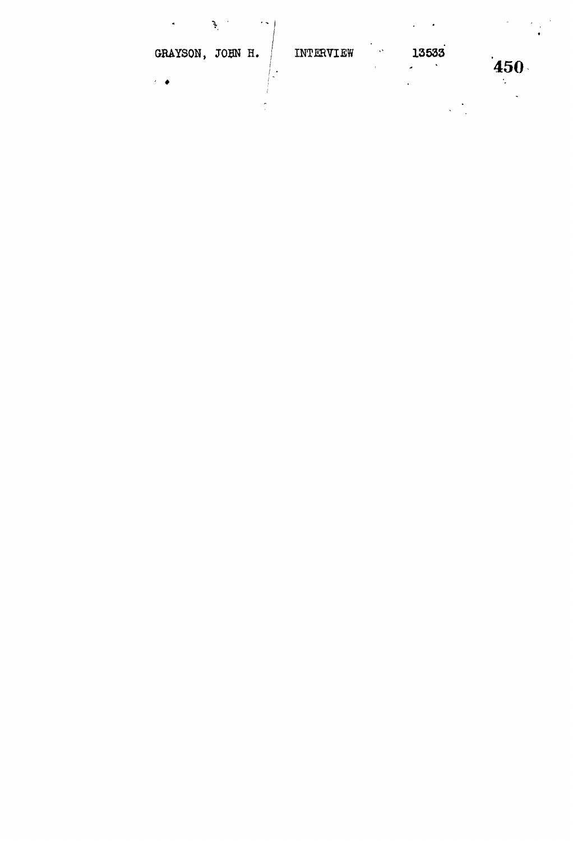| $\sim$<br>$\blacksquare$ |           |         | $\Delta$           | $\lambda$ |
|--------------------------|-----------|---------|--------------------|-----------|
| GRAYSON, JOHN H.         | INTERVIEW | $\cdot$ | 13533<br>$\bullet$ | 450       |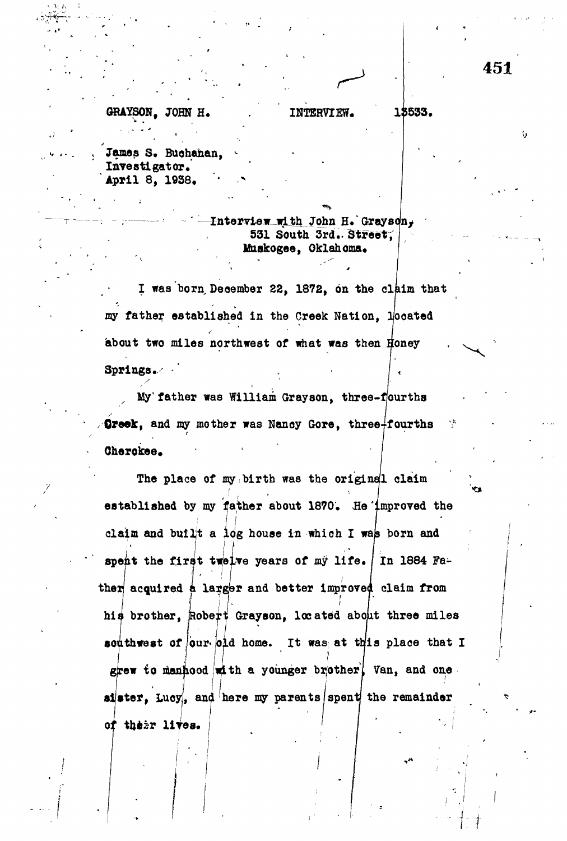GRAYSON, JOHN H. James S. Buchanan. laveatlgator,

April 8, 1938. '

of the third products of the third products of the third products of the third products of the third products.

**.** *i*

;

Interview with John H. Grayson, 531 South 3rd.. Street, Muskogee, Oklahoma.

INTERVIEW. 13533.

I was born December 22, 1872, on the claim that my father established in the Creek Nation, liooated about two miles northwest of what was then Honey Springs.

<sup>x</sup> My'father was William Grayaon, three-ffourths Greek, and my mother was Nancy Gore, three-fourths Cherokee.

The place of my birth was the original claim established by my father about 1870. He improved the claim and built a log house in which I was born and spent the first twelve years of my life. In 1884 Father acquired a larger and better improved claim from his brother, Robert Grayson, located about three miles southwest of our old home. It was at this place that I grew to manhood with a younger brother, Van, and one. sister. Lucy, and here my parents spent the remainder iistef, Lucyl, and here my parents in the remainder  $\mathcal{L}$ 

Ù.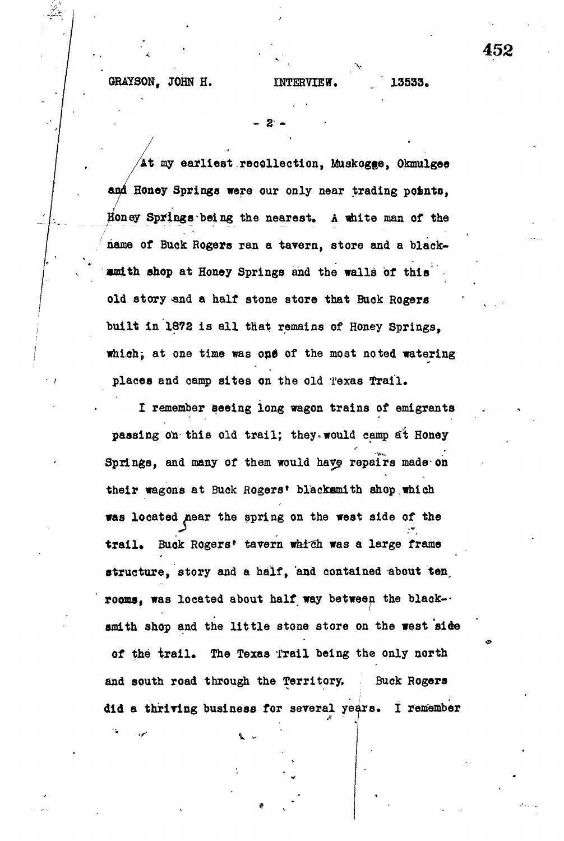**GRAYSON, JOHN H. INTERVIEW, 13533.**

**- 2 -**

**At my earliest reoollection, Muakogge, Okmulgee** and Honey Springs were our only near trading points, **ioney Springs being the nearest. A white man of the name of Buck Rogers ran a tavern, store and a blackami th shop at Honey Springs and the walls of this' old story \*nd a half stone store that Buck Rogers built in 1872 is all that remains of Honey Springs,** which<sub>5</sub> at one time was one of the most noted watering places and camp sites on the old Texas Trail.

**I remember seeing long wagon trains of emigrants** passing on this old trail; they would camp at Honey Springs, and many of them would have repairs made on **their wagons at Buck aogers\* blacksmith shop.which was located near the spring on the west side of the** trail. Buok Rogers' tavern which was a large frame **structure, story and a half, and contained about ten, rooms, was located about half way between the blacksmith shop and the little stone store on the west side of the trail. The Texas Trail being the only north and south road through the Territory. Buck Rogers did a thriving business for several years. I remember** 452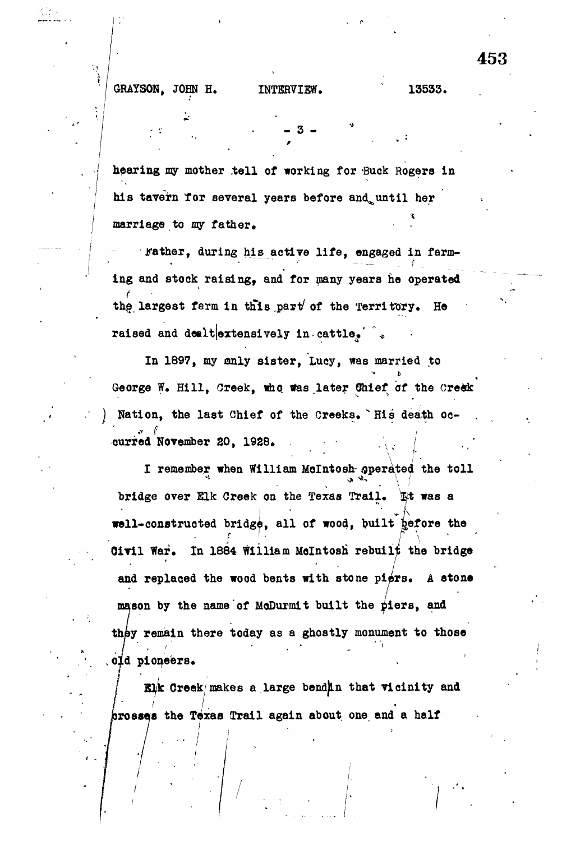## **ARRISON, JOHN H. INTERVIEW.** 135333.

 $\mathcal{V}_\mathrm{S}$ 

 $\mathcal{L} = \{ \mathcal{L} \mid \mathcal{L} \in \mathcal{L} \}$  . The set of  $\mathcal{L} = \{ \mathcal{L} \mid \mathcal{L} \in \mathcal{L} \}$ 

**hearing my mother .tell of working for 'Buck Rogers in his tavern Tor several years before and^until her** marriage to my father.

**.rather, during his active life, engaged in farm**ing and stock raising, and for many years he operated **th§ largest farm in this ,parv of the Territory. He raised and dealterionsively in cattle.**  $\ddot{\cdot}$ 

**In 1897, my only sister, Lucy, was married to** George W. Hill, Creek, who was later Unief of the Creek Nation, the last Chief of the Creeks. `His death oc**curred November 20, 1928. ourxed November 20, 1928. .**

**I remember when William Mclntosh operated the toll bridge over Elk Creek on the Texas Trail, &t was a well-constructed bridg^, all of wood, built gefore the Civil War.** In 1884 William McIntosh rebuilt the bridge **and replaced the wood bents with stone piers. A stone mason by the name of MoDuxmit built the yiers, and they remain there today as a ghostly monument to those old pioneers.**

**Creek makes a large bendjln that vicinity and / jroases the Texas Trail again about one and a half**

453